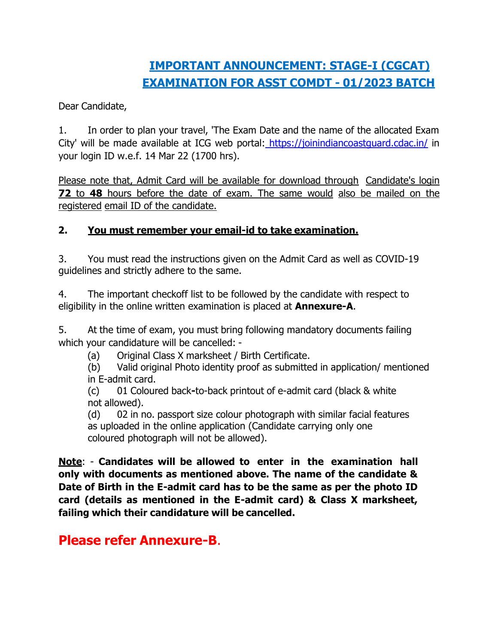# **IMPORTANT ANNOUNCEMENT: STAGE-I (CGCAT) EXAMINATION FOR ASST COMDT - 01/2023 BATCH**

Dear Candidate,

1. In order to plan your travel, 'The Exam Date and the name of the allocated Exam City' will be made available at ICG web portal: <https://joinindiancoastguard.cdac.in/> in your login ID w.e.f. 14 Mar 22 (1700 hrs).

Please note that, Admit Card will be available for download through Candidate's login **72** to **48** hours before the date of exam. The same would also be mailed on the registered email ID of the candidate.

#### **2. You must remember your email-id to take examination.**

3. You must read the instructions given on the Admit Card as well as COVID-19 guidelines and strictly adhere to the same.

4. The important checkoff list to be followed by the candidate with respect to eligibility in the online written examination is placed at **Annexure-A**.

5. At the time of exam, you must bring following mandatory documents failing which your candidature will be cancelled: -

(a) Original Class X marksheet / Birth Certificate.

(b) Valid original Photo identity proof as submitted in application/ mentioned in E-admit card.

(c) 01 Coloured back**-**to-back printout of e-admit card (black & white not allowed).

(d) 02 in no. passport size colour photograph with similar facial features as uploaded in the online application (Candidate carrying only one coloured photograph will not be allowed).

**Note**: - **Candidates will be allowed to enter in the examination hall only with documents as mentioned above. The name of the candidate & Date of Birth in the E-admit card has to be the same as per the photo ID card (details as mentioned in the E-admit card) & Class X marksheet, failing which their candidature will be cancelled.**

# **Please refer Annexure-B**.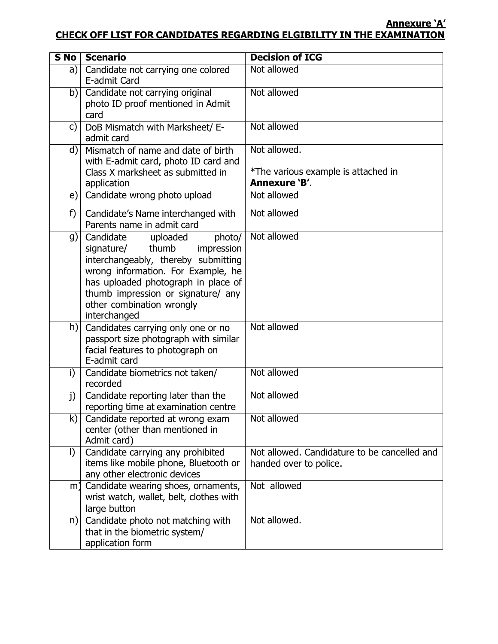**Annexure 'A'**

### **CHECK OFF LIST FOR CANDIDATES REGARDING ELGIBILITY IN THE EXAMINATION**

| S No | <b>Scenario</b>                                                                                                                                                                                                                                                             | <b>Decision of ICG</b>                                                 |
|------|-----------------------------------------------------------------------------------------------------------------------------------------------------------------------------------------------------------------------------------------------------------------------------|------------------------------------------------------------------------|
| a)   | Candidate not carrying one colored<br>E-admit Card                                                                                                                                                                                                                          | Not allowed                                                            |
| b)   | Candidate not carrying original<br>photo ID proof mentioned in Admit<br>card                                                                                                                                                                                                | Not allowed                                                            |
| C)   | DoB Mismatch with Marksheet/ E-<br>admit card                                                                                                                                                                                                                               | Not allowed                                                            |
| d)   | Mismatch of name and date of birth<br>with E-admit card, photo ID card and<br>Class X marksheet as submitted in                                                                                                                                                             | Not allowed.<br>*The various example is attached in                    |
|      | application                                                                                                                                                                                                                                                                 | Annexure 'B'.                                                          |
| e)   | Candidate wrong photo upload                                                                                                                                                                                                                                                | Not allowed                                                            |
| f)   | Candidate's Name interchanged with<br>Parents name in admit card                                                                                                                                                                                                            | Not allowed                                                            |
| g)   | Candidate<br>photo/<br>uploaded<br>thumb<br>impression<br>signature/<br>interchangeably, thereby submitting<br>wrong information. For Example, he<br>has uploaded photograph in place of<br>thumb impression or signature/ any<br>other combination wrongly<br>interchanged | Not allowed                                                            |
| h)   | Candidates carrying only one or no<br>passport size photograph with similar<br>facial features to photograph on<br>E-admit card                                                                                                                                             | Not allowed                                                            |
| i)   | Candidate biometrics not taken/<br>recorded                                                                                                                                                                                                                                 | Not allowed                                                            |
| j)   | Candidate reporting later than the<br>reporting time at examination centre                                                                                                                                                                                                  | Not allowed                                                            |
| k)   | Candidate reported at wrong exam<br>center (other than mentioned in<br>Admit card)                                                                                                                                                                                          | Not allowed                                                            |
| I)   | Candidate carrying any prohibited<br>items like mobile phone, Bluetooth or<br>any other electronic devices                                                                                                                                                                  | Not allowed. Candidature to be cancelled and<br>handed over to police. |
| m)   | Candidate wearing shoes, ornaments,<br>wrist watch, wallet, belt, clothes with<br>large button                                                                                                                                                                              | Not allowed                                                            |
| n)   | Candidate photo not matching with<br>that in the biometric system/<br>application form                                                                                                                                                                                      | Not allowed.                                                           |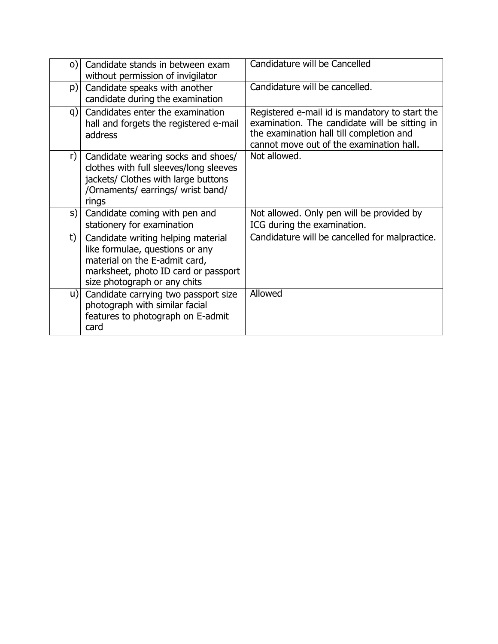| $\circ$ )   | Candidate stands in between exam<br>without permission of invigilator                                                                                                          | Candidature will be Cancelled                                                                                                                                                           |
|-------------|--------------------------------------------------------------------------------------------------------------------------------------------------------------------------------|-----------------------------------------------------------------------------------------------------------------------------------------------------------------------------------------|
| $ p\rangle$ | Candidate speaks with another<br>candidate during the examination                                                                                                              | Candidature will be cancelled.                                                                                                                                                          |
| q)          | Candidates enter the examination<br>hall and forgets the registered e-mail<br>address                                                                                          | Registered e-mail id is mandatory to start the<br>examination. The candidate will be sitting in<br>the examination hall till completion and<br>cannot move out of the examination hall. |
| r).         | Candidate wearing socks and shoes/<br>clothes with full sleeves/long sleeves<br>jackets/ Clothes with large buttons<br>/Ornaments/ earrings/ wrist band/<br>rings              | Not allowed.                                                                                                                                                                            |
| s)          | Candidate coming with pen and<br>stationery for examination                                                                                                                    | Not allowed. Only pen will be provided by<br>ICG during the examination.                                                                                                                |
| t)          | Candidate writing helping material<br>like formulae, questions or any<br>material on the E-admit card,<br>marksheet, photo ID card or passport<br>size photograph or any chits | Candidature will be cancelled for malpractice.                                                                                                                                          |
| u)          | Candidate carrying two passport size<br>photograph with similar facial<br>features to photograph on E-admit<br>card                                                            | Allowed                                                                                                                                                                                 |